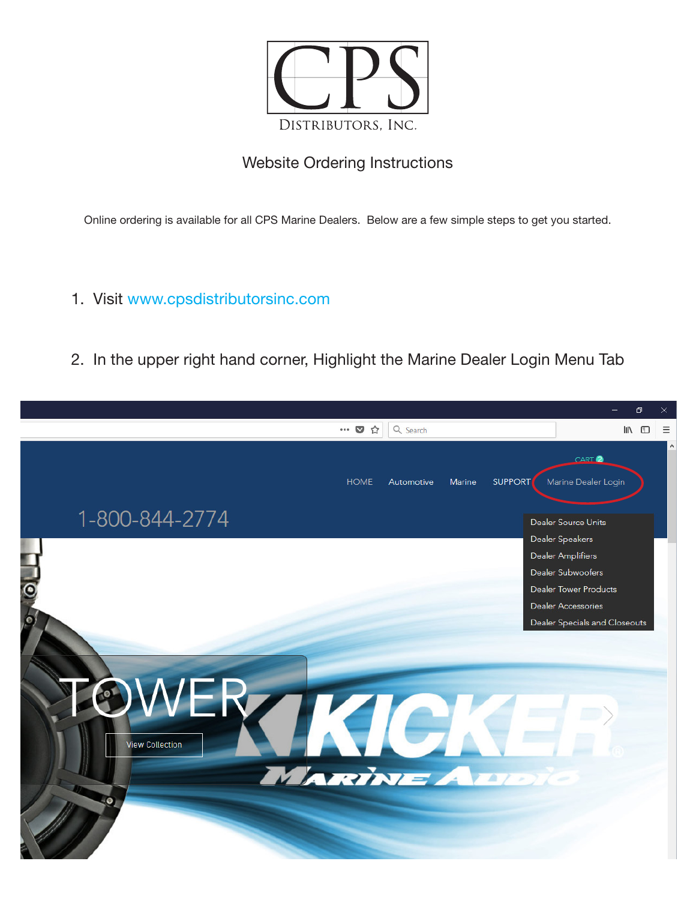

## Website Ordering Instructions

Online ordering is available for all CPS Marine Dealers. Below are a few simple steps to get you started.

- 1. Visit www.cpsdistributorsinc.com
- 2. In the upper right hand corner, Highlight the Marine Dealer Login Menu Tab

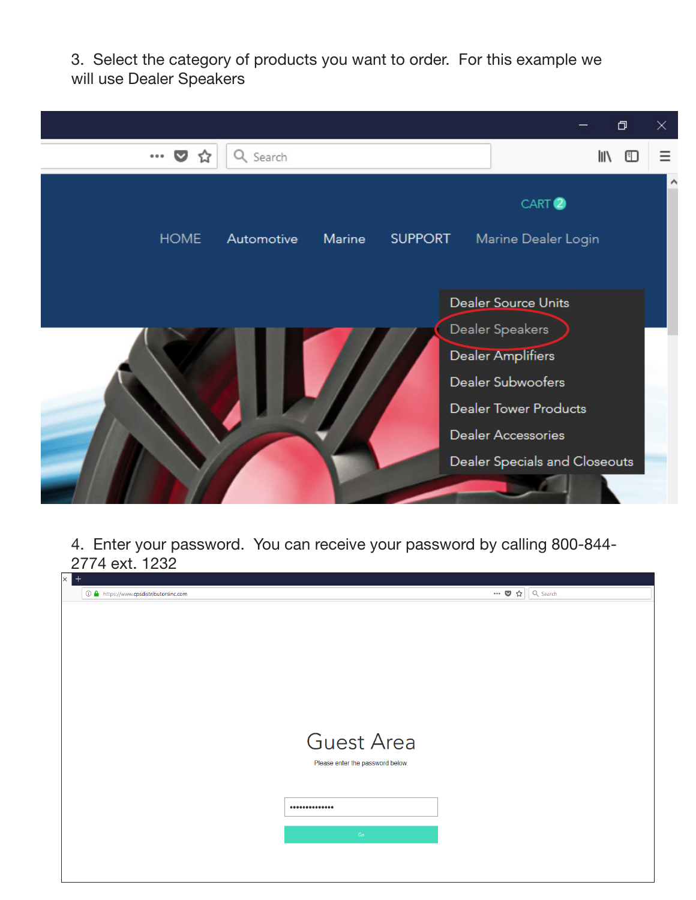3. Select the category of products you want to order. For this example we will use Dealer Speakers



4. Enter your password. You can receive your password by calling 800-844- 2774 ext. 1232

| $\mathsf{X}$<br>$^{+}$                 |                                  |                                                      |  |
|----------------------------------------|----------------------------------|------------------------------------------------------|--|
| ① △ https://www.cpsdistributorsinc.com |                                  | $\cdots$ $\bullet$ $\uparrow$ $\circ$ $\circ$ Search |  |
|                                        |                                  |                                                      |  |
|                                        |                                  |                                                      |  |
|                                        |                                  |                                                      |  |
|                                        |                                  |                                                      |  |
|                                        |                                  |                                                      |  |
|                                        |                                  |                                                      |  |
|                                        |                                  |                                                      |  |
|                                        |                                  |                                                      |  |
|                                        |                                  |                                                      |  |
|                                        |                                  |                                                      |  |
|                                        |                                  |                                                      |  |
|                                        |                                  |                                                      |  |
|                                        |                                  |                                                      |  |
|                                        | <b>Guest Area</b>                |                                                      |  |
|                                        |                                  |                                                      |  |
|                                        | Please enter the password below. |                                                      |  |
|                                        |                                  |                                                      |  |
|                                        |                                  |                                                      |  |
|                                        |                                  |                                                      |  |
|                                        |                                  |                                                      |  |
|                                        |                                  |                                                      |  |
|                                        |                                  |                                                      |  |
|                                        | Go                               |                                                      |  |
|                                        |                                  |                                                      |  |
|                                        |                                  |                                                      |  |
|                                        |                                  |                                                      |  |
|                                        |                                  |                                                      |  |